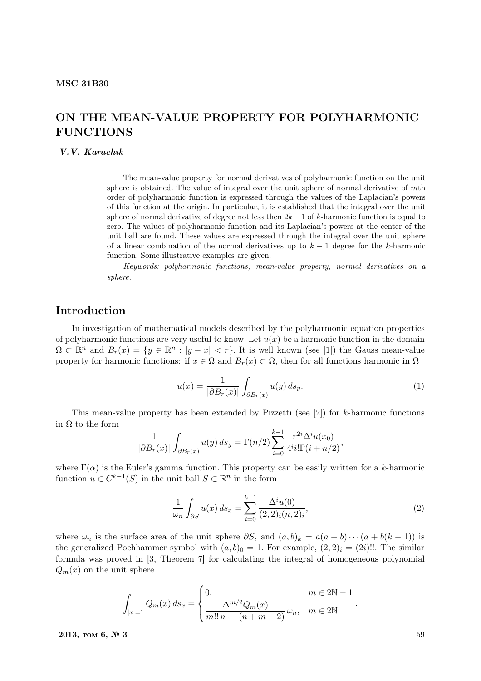## ON THE MEAN-VALUE PROPERTY FOR POLYHARMONIC FUNCTIONS

#### V.V. Karachik

The mean-value property for normal derivatives of polyharmonic function on the unit sphere is obtained. The value of integral over the unit sphere of normal derivative of mth order of polyharmonic function is expressed through the values of the Laplacian's powers of this function at the origin. In particular, it is established that the integral over the unit sphere of normal derivative of degree not less then  $2k - 1$  of k-harmonic function is equal to zero. The values of polyharmonic function and its Laplacian's powers at the center of the unit ball are found. These values are expressed through the integral over the unit sphere of a linear combination of the normal derivatives up to  $k-1$  degree for the k-harmonic function. Some illustrative examples are given.

Keywords: polyharmonic functions, mean-value property, normal derivatives on a sphere.

#### Introduction

In investigation of mathematical models described by the polyharmonic equation properties of polyharmonic functions are very useful to know. Let  $u(x)$  be a harmonic function in the domain  $\Omega \subset \mathbb{R}^n$  and  $B_r(x) = \{y \in \mathbb{R}^n : |y - x| < r\}$ . It is well known (see [1]) the Gauss mean-value property for harmonic functions: if  $x \in \Omega$  and  $\overline{B_r(x)} \subset \Omega$ , then for all functions harmonic in  $\Omega$ 

$$
u(x) = \frac{1}{|\partial B_r(x)|} \int_{\partial B_r(x)} u(y) \, ds_y. \tag{1}
$$

This mean-value property has been extended by Pizzetti (see [2]) for  $k$ -harmonic functions in Ω to the form

$$
\frac{1}{|\partial B_r(x)|} \int_{\partial B_r(x)} u(y) \, ds_y = \Gamma(n/2) \sum_{i=0}^{k-1} \frac{r^{2i} \Delta^i u(x_0)}{4^i i! \Gamma(i + n/2)},
$$

where  $\Gamma(\alpha)$  is the Euler's gamma function. This property can be easily written for a k-harmonic function  $u \in C^{k-1}(\overline{S})$  in the unit ball  $S \subset \mathbb{R}^n$  in the form

$$
\frac{1}{\omega_n} \int_{\partial S} u(x) \, ds_x = \sum_{i=0}^{k-1} \frac{\Delta^i u(0)}{(2,2)_i (n,2)_i},\tag{2}
$$

where  $\omega_n$  is the surface area of the unit sphere  $\partial S$ , and  $(a, b)_k = a(a + b) \cdots (a + b(k - 1))$  is the generalized Pochhammer symbol with  $(a, b)_0 = 1$ . For example,  $(2, 2)_i = (2i)!!$ . The similar formula was proved in [3, Theorem 7] for calculating the integral of homogeneous polynomial  $Q_m(x)$  on the unit sphere

$$
\int_{|x|=1} Q_m(x) ds_x = \begin{cases} 0, & m \in 2\mathbb{N} - 1 \\ \frac{\Delta^{m/2} Q_m(x)}{m!! \, n \cdots (n+m-2)} \, \omega_n, & m \in 2\mathbb{N} \end{cases}
$$

.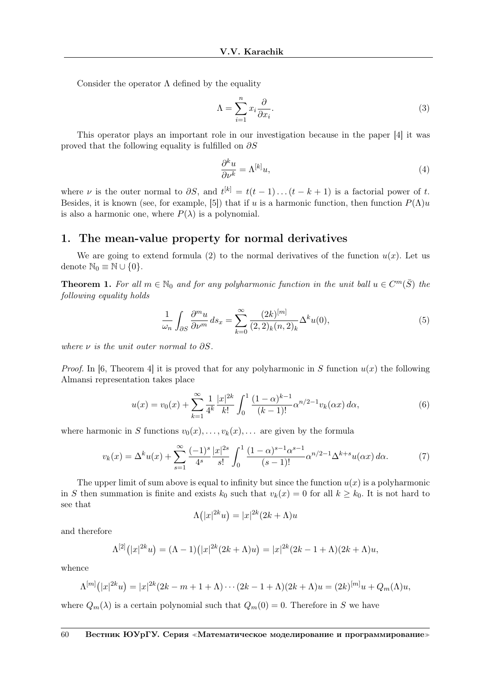Consider the operator  $\Lambda$  defined by the equality

$$
\Lambda = \sum_{i=1}^{n} x_i \frac{\partial}{\partial x_i}.
$$
\n(3)

This operator plays an important role in our investigation because in the paper [4] it was proved that the following equality is fulfilled on  $\partial S$ 

$$
\frac{\partial^k u}{\partial \nu^k} = \Lambda^{[k]} u,\tag{4}
$$

where  $\nu$  is the outer normal to  $\partial S$ , and  $t^{[k]} = t(t-1)...(t-k+1)$  is a factorial power of t. Besides, it is known (see, for example, [5]) that if u is a harmonic function, then function  $P(\Lambda)u$ is also a harmonic one, where  $P(\lambda)$  is a polynomial.

## 1. The mean-value property for normal derivatives

We are going to extend formula (2) to the normal derivatives of the function  $u(x)$ . Let us denote  $\mathbb{N}_0 \equiv \mathbb{N} \cup \{0\}.$ 

**Theorem 1.** For all  $m \in \mathbb{N}_0$  and for any polyharmonic function in the unit ball  $u \in C^m(\overline{S})$  the following equality holds

$$
\frac{1}{\omega_n} \int_{\partial S} \frac{\partial^m u}{\partial \nu^m} ds_x = \sum_{k=0}^{\infty} \frac{(2k)^{[m]}}{(2,2)_k (n,2)_k} \Delta^k u(0),\tag{5}
$$

where  $\nu$  is the unit outer normal to  $\partial S$ .

*Proof.* In [6, Theorem 4] it is proved that for any polyharmonic in S function  $u(x)$  the following Almansi representation takes place

$$
u(x) = v_0(x) + \sum_{k=1}^{\infty} \frac{1}{4^k} \frac{|x|^{2k}}{k!} \int_0^1 \frac{(1-\alpha)^{k-1}}{(k-1)!} \alpha^{n/2-1} v_k(\alpha x) d\alpha,
$$
 (6)

where harmonic in S functions  $v_0(x), \ldots, v_k(x), \ldots$  are given by the formula

$$
v_k(x) = \Delta^k u(x) + \sum_{s=1}^{\infty} \frac{(-1)^s}{4^s} \frac{|x|^{2s}}{s!} \int_0^1 \frac{(1-\alpha)^{s-1} \alpha^{s-1}}{(s-1)!} \alpha^{n/2-1} \Delta^{k+s} u(\alpha x) d\alpha.
$$
 (7)

The upper limit of sum above is equal to infinity but since the function  $u(x)$  is a polyharmonic in S then summation is finite and exists  $k_0$  such that  $v_k(x) = 0$  for all  $k \geq k_0$ . It is not hard to see that ¡ ¢

$$
\Lambda(|x|^{2k}u) = |x|^{2k}(2k+\Lambda)u
$$

and therefore

$$
\Lambda^{[2]}(|x|^{2k}u) = (\Lambda - 1)(|x|^{2k}(2k + \Lambda)u) = |x|^{2k}(2k - 1 + \Lambda)(2k + \Lambda)u,
$$

whence

$$
\Lambda^{[m]}(|x|^{2k}u) = |x|^{2k}(2k - m + 1 + \Lambda) \cdots (2k - 1 + \Lambda)(2k + \Lambda)u = (2k)^{[m]}u + Q_m(\Lambda)u,
$$

where  $Q_m(\lambda)$  is a certain polynomial such that  $Q_m(0) = 0$ . Therefore in S we have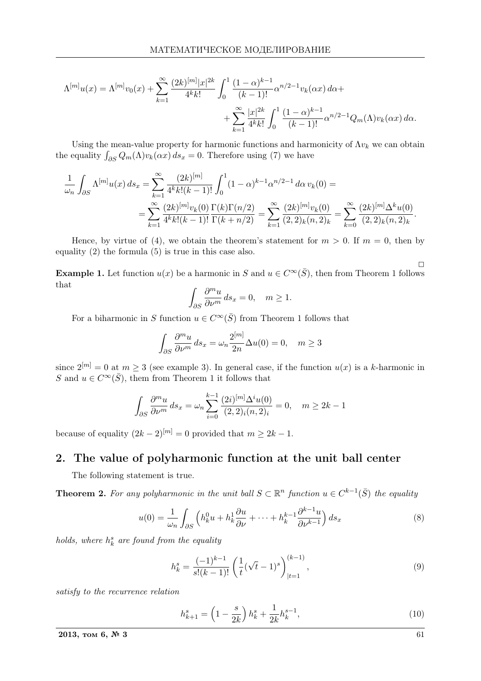$$
\Lambda^{[m]}u(x) = \Lambda^{[m]}v_0(x) + \sum_{k=1}^{\infty} \frac{(2k)^{[m]}|x|^{2k}}{4^k k!} \int_0^1 \frac{(1-\alpha)^{k-1}}{(k-1)!} \alpha^{n/2-1} v_k(\alpha x) d\alpha +
$$
  
+ 
$$
\sum_{k=1}^{\infty} \frac{|x|^{2k}}{4^k k!} \int_0^1 \frac{(1-\alpha)^{k-1}}{(k-1)!} \alpha^{n/2-1} Q_m(\Lambda) v_k(\alpha x) d\alpha.
$$

Using the mean-value property for harmonic functions and harmonicity of  $\Lambda v_k$  we can obtain Using the mean-value property for narmonic functions and narm<br>the equality  $\int_{\partial S} Q_m(\Lambda) v_k(\alpha x) ds_x = 0$ . Therefore using (7) we have

$$
\frac{1}{\omega_n} \int_{\partial S} \Lambda^{[m]} u(x) \, ds_x = \sum_{k=1}^{\infty} \frac{(2k)^{[m]}}{4^k k! (k-1)!} \int_0^1 (1-\alpha)^{k-1} \alpha^{n/2-1} \, d\alpha \, v_k(0) =
$$
\n
$$
= \sum_{k=1}^{\infty} \frac{(2k)^{[m]} v_k(0)}{4^k k! (k-1)!} \frac{\Gamma(k) \Gamma(n/2)}{\Gamma(k+n/2)} = \sum_{k=1}^{\infty} \frac{(2k)^{[m]} v_k(0)}{(2,2)_k (n,2)_k} = \sum_{k=0}^{\infty} \frac{(2k)^{[m]} \Delta^k u(0)}{(2,2)_k (n,2)_k}.
$$

Hence, by virtue of (4), we obtain the theorem's statement for  $m > 0$ . If  $m = 0$ , then by equality (2) the formula (5) is true in this case also.

**Example 1.** Let function  $u(x)$  be a harmonic in S and  $u \in C^{\infty}(\overline{S})$ , then from Theorem 1 follows that

$$
\int_{\partial S} \frac{\partial^m u}{\partial \nu^m} \, ds_x = 0, \quad m \ge 1.
$$

For a biharmonic in S function  $u \in C^{\infty}(\overline{S})$  from Theorem 1 follows that

$$
\int_{\partial S} \frac{\partial^m u}{\partial \nu^m} ds_x = \omega_n \frac{2^{[m]}}{2n} \Delta u(0) = 0, \quad m \ge 3
$$

since  $2^{[m]} = 0$  at  $m \geq 3$  (see example 3). In general case, if the function  $u(x)$  is a k-harmonic in S and  $u \in C^{\infty}(\overline{S})$ , them from Theorem 1 it follows that

$$
\int_{\partial S} \frac{\partial^m u}{\partial \nu^m} ds_x = \omega_n \sum_{i=0}^{k-1} \frac{(2i)^{[m]} \Delta^i u(0)}{(2,2)_i (n,2)_i} = 0, \quad m \ge 2k - 1
$$

because of equality  $(2k-2)^{[m]} = 0$  provided that  $m \geq 2k - 1$ .

## 2. The value of polyharmonic function at the unit ball center

The following statement is true.

**Theorem 2.** For any polyharmonic in the unit ball  $S \subset \mathbb{R}^n$  function  $u \in C^{k-1}(\overline{S})$  the equality

$$
u(0) = \frac{1}{\omega_n} \int_{\partial S} \left( h_k^0 u + h_k^1 \frac{\partial u}{\partial \nu} + \dots + h_k^{k-1} \frac{\partial^{k-1} u}{\partial \nu^{k-1}} \right) ds_x \tag{8}
$$

holds, where  $h_k^s$  are found from the equality

$$
h_k^s = \frac{(-1)^{k-1}}{s!(k-1)!} \left(\frac{1}{t}(\sqrt{t}-1)^s\right)_{|t=1}^{(k-1)},\tag{9}
$$

satisfy to the recurrence relation

$$
h_{k+1}^s = \left(1 - \frac{s}{2k}\right)h_k^s + \frac{1}{2k}h_k^{s-1},\tag{10}
$$

2013, том 6,  $\mathcal{N}^2$  3 61

 $\Box$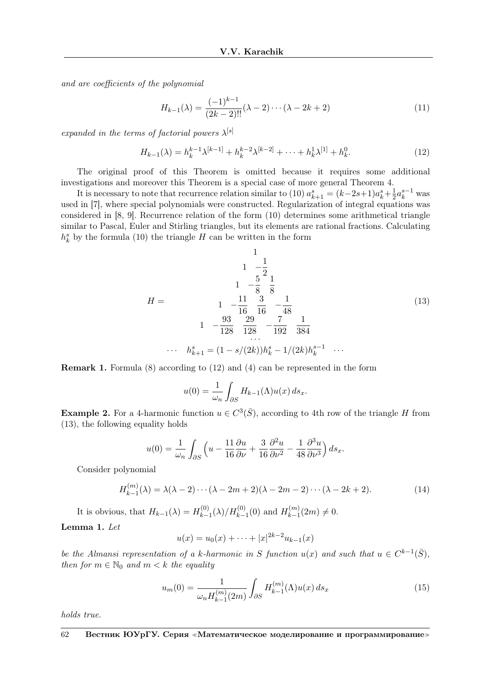and are coefficients of the polynomial

$$
H_{k-1}(\lambda) = \frac{(-1)^{k-1}}{(2k-2)!!} (\lambda - 2) \cdots (\lambda - 2k + 2)
$$
\n(11)

expanded in the terms of factorial powers  $\lambda^{[s]}$ 

$$
H_{k-1}(\lambda) = h_k^{k-1} \lambda^{[k-1]} + h_k^{k-2} \lambda^{[k-2]} + \dots + h_k^{1} \lambda^{[1]} + h_k^{0}.
$$
 (12)

The original proof of this Theorem is omitted because it requires some additional investigations and moreover this Theorem is a special case of more general Theorem 4.

It is necessary to note that recurrence relation similar to (10)  $a_{k+1}^s = (k-2s+1)a_k^s + \frac{1}{2}$  $\frac{1}{2}a_k^{s-1}$  was used in [7], where special polynomials were constructed. Regularization of integral equations was considered in [8, 9]. Recurrence relation of the form (10) determines some arithmetical triangle similar to Pascal, Euler and Stirling triangles, but its elements are rational fractions. Calculating  $h_k^s$  by the formula (10) the triangle H can be written in the form

$$
H = \begin{pmatrix} 1 & 1 \\ 1 & -\frac{1}{2} \\ 1 & -\frac{5}{8} & \frac{1}{8} \\ 1 & -\frac{11}{16} & \frac{3}{16} & -\frac{1}{48} \\ 1 & -\frac{93}{128} & \frac{29}{128} & -\frac{7}{192} & \frac{1}{384} \\ \cdots & \cdots & \cdots & \cdots & \cdots & \cdots \end{pmatrix}
$$
(13)  

$$
\begin{pmatrix} 1 & 1 \\ 1 & 1 \end{pmatrix}
$$
  

$$
\begin{pmatrix} 1 & 1 \\ 1 & 1 \end{pmatrix}
$$
  

$$
\begin{pmatrix} 1 & 1 \\ 1 & 1 \end{pmatrix}
$$
  

$$
\begin{pmatrix} 1 & 1 \\ 1 & 1 \end{pmatrix}
$$
  

$$
\begin{pmatrix} 1 & 1 \\ 1 & 1 \end{pmatrix}
$$
  

$$
\begin{pmatrix} 1 & 1 \\ 1 & 1 \end{pmatrix}
$$
  

$$
\begin{pmatrix} 1 & 1 \\ 1 & 1 \end{pmatrix}
$$
  

$$
\begin{pmatrix} 1 & 1 \\ 1 & 1 \end{pmatrix}
$$
  

$$
\begin{pmatrix} 1 & 1 \\ 1 & 1 \end{pmatrix}
$$
  

$$
\begin{pmatrix} 1 & 1 \\ 1 & 1 \end{pmatrix}
$$
  

$$
\begin{pmatrix} 1 & 1 \\ 1 & 1 \end{pmatrix}
$$
  

$$
\begin{pmatrix} 1 & 1 \\ 1 & 1 \end{pmatrix}
$$
  

$$
\begin{pmatrix} 1 & 1 \\ 1 & 1 \end{pmatrix}
$$
  

$$
\begin{pmatrix} 1 & 1 \\ 1 & 1 \end{pmatrix}
$$
  

$$
\begin{pmatrix} 1 & 1 \\ 1 & 1 \end{pmatrix}
$$
  

$$
\begin{pmatrix} 1 & 1 \\ 1 & 1 \end{pmatrix}
$$
  

$$
\begin{pmatrix} 1 & 1 \\ 1 & 1 \end{pmatrix}
$$
  

$$
\begin{pmatrix} 1 & 1 \\ 1 & 1 \end{pmatrix}
$$
  

$$
\begin{pmatrix} 1 & 1 \\ 1 & 1 \end{pmatrix}
$$
  

$$
\begin{pm
$$

Remark 1. Formula (8) according to (12) and (4) can be represented in the form

$$
u(0) = \frac{1}{\omega_n} \int_{\partial S} H_{k-1}(\Lambda) u(x) \, ds_x.
$$

**Example 2.** For a 4-harmonic function  $u \in C^3(\overline{S})$ , according to 4th row of the triangle H from (13), the following equality holds

$$
u(0) = \frac{1}{\omega_n} \int_{\partial S} \left( u - \frac{11}{16} \frac{\partial u}{\partial \nu} + \frac{3}{16} \frac{\partial^2 u}{\partial \nu^2} - \frac{1}{48} \frac{\partial^3 u}{\partial \nu^3} \right) ds_x.
$$

Consider polynomial

$$
H_{k-1}^{(m)}(\lambda) = \lambda(\lambda - 2) \cdots (\lambda - 2m + 2)(\lambda - 2m - 2) \cdots (\lambda - 2k + 2). \tag{14}
$$

It is obvious, that  $H_{k-1}(\lambda) = H_{k-1}^{(0)}$  $H_{k-1}^{(0)}(\lambda)/H_{k-1}^{(0)}(0)$  and  $H_{k-1}^{(m)}$  $k-1}^{(m)}(2m) \neq 0.$ 

#### Lemma 1. Let

$$
u(x) = u_0(x) + \dots + |x|^{2k-2} u_{k-1}(x)
$$

be the Almansi representation of a k-harmonic in S function  $u(x)$  and such that  $u \in C^{k-1}(\overline{S})$ , then for  $m \in \mathbb{N}_0$  and  $m < k$  the equality

$$
u_m(0) = \frac{1}{\omega_n H_{k-1}^{(m)}(2m)} \int_{\partial S} H_{k-1}^{(m)}(\Lambda) u(x) \, ds_x \tag{15}
$$

holds true.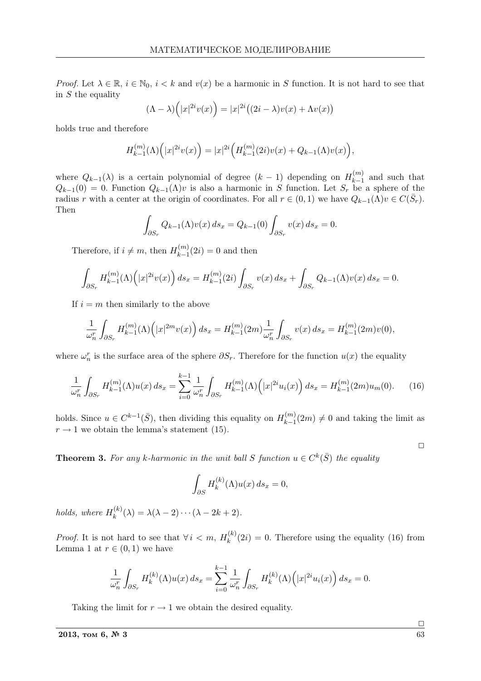*Proof.* Let  $\lambda \in \mathbb{R}$ ,  $i \in \mathbb{N}_0$ ,  $i < k$  and  $v(x)$  be a harmonic in S function. It is not hard to see that in  $S$  the equality  $\overline{a}$ ´

$$
(\Lambda - \lambda) (|x|^{2i} v(x)) = |x|^{2i} ((2i - \lambda)v(x) + \Lambda v(x))
$$

holds true and therefore

$$
H_{k-1}^{(m)}(\Lambda)\Big(|x|^{2i}v(x)\Big)=|x|^{2i}\Big(H_{k-1}^{(m)}(2i)v(x)+Q_{k-1}(\Lambda)v(x)\Big),
$$

where  $Q_{k-1}(\lambda)$  is a certain polynomial of degree  $(k-1)$  depending on  $H_{k-1}^{(m)}$  $\binom{m}{k-1}$  and such that  $Q_{k-1}(0) = 0$ . Function  $Q_{k-1}(\Lambda)v$  is also a harmonic in S function. Let  $S_r$  be a sphere of the radius r with a center at the origin of coordinates. For all  $r \in (0,1)$  we have  $Q_{k-1}(\Lambda)v \in C(\bar{S}_r)$ . Then

$$
\int_{\partial S_r} Q_{k-1}(\Lambda) v(x) ds_x = Q_{k-1}(0) \int_{\partial S_r} v(x) ds_x = 0.
$$

Therefore, if  $i \neq m$ , then  $H_{k-1}^{(m)}$  $\binom{m}{k-1}(2i) = 0$  and then

$$
\int_{\partial S_r} H_{k-1}^{(m)}(\Lambda) \Big( |x|^{2i} v(x) \Big) \, ds_x = H_{k-1}^{(m)}(2i) \int_{\partial S_r} v(x) \, ds_x + \int_{\partial S_r} Q_{k-1}(\Lambda) v(x) \, ds_x = 0.
$$

If  $i = m$  then similarly to the above

$$
\frac{1}{\omega_n^r} \int_{\partial S_r} H_{k-1}^{(m)}(\Lambda) \Big( |x|^{2m} v(x) \Big) \, ds_x = H_{k-1}^{(m)}(2m) \frac{1}{\omega_n^r} \int_{\partial S_r} v(x) \, ds_x = H_{k-1}^{(m)}(2m) v(0),
$$

where  $\omega_n^r$  is the surface area of the sphere  $\partial S_r$ . Therefore for the function  $u(x)$  the equality

$$
\frac{1}{\omega_n^r} \int_{\partial S_r} H_{k-1}^{(m)}(\Lambda) u(x) \, ds_x = \sum_{i=0}^{k-1} \frac{1}{\omega_n^r} \int_{\partial S_r} H_{k-1}^{(m)}(\Lambda) \Big( |x|^{2i} u_i(x) \Big) \, ds_x = H_{k-1}^{(m)}(2m) u_m(0). \tag{16}
$$

holds. Since  $u \in C^{k-1}(\bar{S})$ , then dividing this equality on  $H_{k-1}^{(m)}$  $\binom{m}{k-1}(2m) \neq 0$  and taking the limit as  $r \rightarrow 1$  we obtain the lemma's statement (15).

**Theorem 3.** For any k-harmonic in the unit ball S function  $u \in C^k(\overline{S})$  the equality

$$
\int_{\partial S} H_k^{(k)}(\Lambda)u(x) \, ds_x = 0,
$$

holds, where  $H_k^{(k)}$  $\lambda_k^{(k)}(\lambda) = \lambda(\lambda - 2) \cdots (\lambda - 2k + 2).$ 

*Proof.* It is not hard to see that  $\forall i \leq m, H_k^{(k)}$  $k_k^{(k)}(2i) = 0$ . Therefore using the equality (16) from Lemma 1 at  $r \in (0,1)$  we have

$$
\frac{1}{\omega_n^r} \int_{\partial S_r} H_k^{(k)}(\Lambda) u(x) \, ds_x = \sum_{i=0}^{k-1} \frac{1}{\omega_n^r} \int_{\partial S_r} H_k^{(k)}(\Lambda) \Big( |x|^{2i} u_i(x) \Big) \, ds_x = 0.
$$

Taking the limit for  $r \to 1$  we obtain the desired equality.

 $\Box$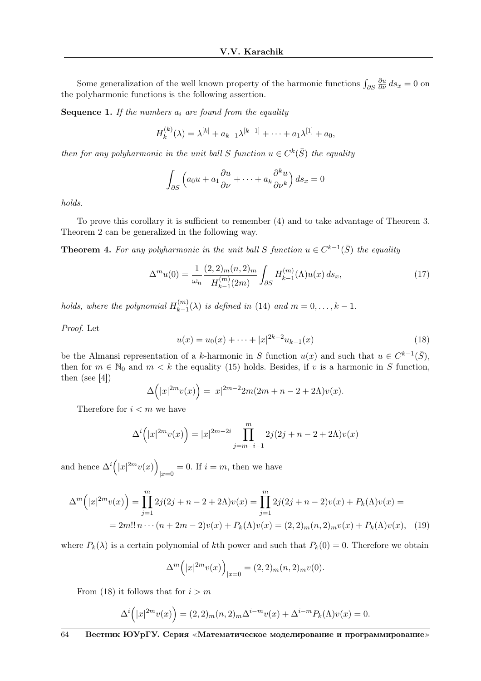Some generalization of the well known property of the harmonic functions  $\int_{\partial S}$  $\frac{\partial u}{\partial \nu} ds_x = 0$  on the polyharmonic functions is the following assertion.

**Sequence 1.** If the numbers  $a_i$  are found from the equality

$$
H_k^{(k)}(\lambda) = \lambda^{[k]} + a_{k-1}\lambda^{[k-1]} + \cdots + a_1\lambda^{[1]} + a_0,
$$

then for any polyharmonic in the unit ball S function  $u \in C^k(\overline{S})$  the equality

$$
\int_{\partial S} \left( a_0 u + a_1 \frac{\partial u}{\partial \nu} + \dots + a_k \frac{\partial^k u}{\partial \nu^k} \right) ds_x = 0
$$

holds.

To prove this corollary it is sufficient to remember (4) and to take advantage of Theorem 3. Theorem 2 can be generalized in the following way.

**Theorem 4.** For any polyharmonic in the unit ball S function  $u \in C^{k-1}(\overline{S})$  the equality

$$
\Delta^{m}u(0) = \frac{1}{\omega_{n}} \frac{(2,2)_{m}(n,2)_{m}}{H_{k-1}^{(m)}(2m)} \int_{\partial S} H_{k-1}^{(m)}(\Lambda)u(x) \, ds_{x},\tag{17}
$$

holds, where the polynomial  $H_{k-1}^{(m)}$  $\lim_{k=1}^{(m)}(\lambda)$  is defined in (14) and  $m=0,\ldots,k-1$ .

Proof. Let

$$
u(x) = u_0(x) + \dots + |x|^{2k-2} u_{k-1}(x)
$$
\n(18)

be the Almansi representation of a k-harmonic in S function  $u(x)$  and such that  $u \in C^{k-1}(\overline{S})$ , then for  $m \in \mathbb{N}_0$  and  $m < k$  the equality (15) holds. Besides, if v is a harmonic in S function, then (see [4])  $\overline{a}$ ´

$$
\Delta(|x|^{2m}v(x)) = |x|^{2m-2}2m(2m+n-2+2\Lambda)v(x).
$$

Therefore for  $i < m$  we have

$$
\Delta^{i}(|x|^{2m}v(x)) = |x|^{2m-2i} \prod_{j=m-i+1}^{m} 2j(2j+n-2+2\Lambda)v(x)
$$

and hence  $\Delta^i$  $\overline{a}$  $|x|^{2m}v(x)$ ´  $|_{x=0} = 0$ . If  $i = m$ , then we have

$$
\Delta^{m}\left(|x|^{2m}v(x)\right) = \prod_{j=1}^{m} 2j(2j+n-2+2\Lambda)v(x) = \prod_{j=1}^{m} 2j(2j+n-2)v(x) + P_{k}(\Lambda)v(x) =
$$
  
= 2m!! n \cdots (n+2m-2)v(x) + P\_{k}(\Lambda)v(x) = (2,2)\_{m}(n,2)\_{m}v(x) + P\_{k}(\Lambda)v(x), (19)

where  $P_k(\lambda)$  is a certain polynomial of kth power and such that  $P_k(0) = 0$ . Therefore we obtain

$$
\Delta^{m}(|x|^{2m}v(x))_{|x=0} = (2,2)_{m}(n,2)_{m}v(0).
$$

From (18) it follows that for  $i > m$ 

$$
\Delta^{i}\Big(|x|^{2m}v(x)\Big)=(2,2)_{m}(n,2)_{m}\Delta^{i-m}v(x)+\Delta^{i-m}P_{k}(\Lambda)v(x)=0.
$$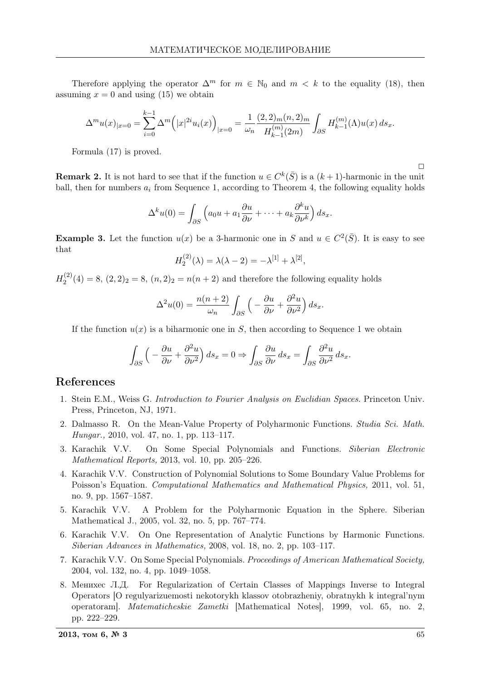Therefore applying the operator  $\Delta^m$  for  $m \in \mathbb{N}_0$  and  $m < k$  to the equality (18), then assuming  $x = 0$  and using (15) we obtain

$$
\Delta^m u(x)_{|x=0} = \sum_{i=0}^{k-1} \Delta^m \Big( |x|^{2i} u_i(x) \Big)_{|x=0} = \frac{1}{\omega_n} \frac{(2, 2)_m(n, 2)_m}{H_{k-1}^{(m)}(2m)} \int_{\partial S} H_{k-1}^{(m)}(\Lambda) u(x) \, ds_x.
$$

Formula (17) is proved.

**Remark 2.** It is not hard to see that if the function  $u \in C^k(\bar{S})$  is a  $(k+1)$ -harmonic in the unit ball, then for numbers  $a_i$  from Sequence 1, according to Theorem 4, the following equality holds

$$
\Delta^k u(0) = \int_{\partial S} \left( a_0 u + a_1 \frac{\partial u}{\partial \nu} + \dots + a_k \frac{\partial^k u}{\partial \nu^k} \right) ds_x.
$$

**Example 3.** Let the function  $u(x)$  be a 3-harmonic one in S and  $u \in C^2(\overline{S})$ . It is easy to see that

$$
H_2^{(2)}(\lambda) = \lambda(\lambda - 2) = -\lambda^{[1]} + \lambda^{[2]},
$$

 $H_2^{(2)}$  $2^{(2)}(4) = 8, (2, 2)_2 = 8, (n, 2)_2 = n(n + 2)$  and therefore the following equality holds

$$
\Delta^2 u(0) = \frac{n(n+2)}{\omega_n} \int_{\partial S} \left( -\frac{\partial u}{\partial \nu} + \frac{\partial^2 u}{\partial \nu^2} \right) ds_x.
$$

If the function  $u(x)$  is a biharmonic one in S, then according to Sequence 1 we obtain

$$
\int_{\partial S} \left( -\frac{\partial u}{\partial \nu} + \frac{\partial^2 u}{\partial \nu^2} \right) ds_x = 0 \Rightarrow \int_{\partial S} \frac{\partial u}{\partial \nu} ds_x = \int_{\partial S} \frac{\partial^2 u}{\partial \nu^2} ds_x.
$$

## References

- 1. Stein E.M., Weiss G. Introduction to Fourier Analysis on Euclidian Spaces. Princeton Univ. Press, Princeton, NJ, 1971.
- 2. Dalmasso R. On the Mean-Value Property of Polyharmonic Functions. Studia Sci. Math. Hungar., 2010, vol. 47, no. 1, pp. 113–117.
- 3. Karachik V.V. On Some Special Polynomials and Functions. Siberian Electronic Mathematical Reports, 2013, vol. 10, pp. 205–226.
- 4. Karachik V.V. Construction of Polynomial Solutions to Some Boundary Value Problems for Poisson's Equation. Computational Mathematics and Mathematical Physics, 2011, vol. 51, no. 9, pp. 1567–1587.
- 5. Karachik V.V. A Problem for the Polyharmonic Equation in the Sphere. Siberian Mathematical J., 2005, vol. 32, no. 5, pp. 767–774.
- 6. Karachik V.V. On One Representation of Analytic Functions by Harmonic Functions. Siberian Advances in Mathematics, 2008, vol. 18, no. 2, pp. 103–117.
- 7. Karachik V.V. On Some Special Polynomials. Proceedings of American Mathematical Society, 2004, vol. 132, no. 4, pp. 1049–1058.
- 8. Менихес Л.Д. For Regularization of Certain Classes of Mappings Inverse to Integral Operators [O regulyarizuemosti nekotorykh klassov otobrazheniy, obratnykh k integral'nym operatoram]. Matematicheskie Zametki [Mathematical Notes], 1999, vol. 65, no. 2, pp. 222–229.

 $\Box$